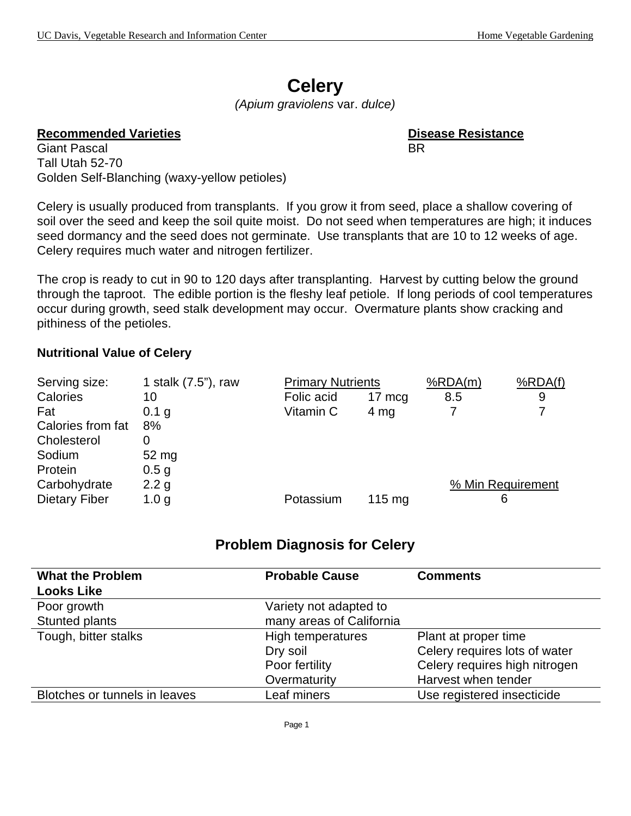# **Celery**

*(Apium graviolens* var. *dulce)*

#### **Recommended Varieties <b>Disease Resistance**

Giant Pascal and BR and BR and BR and BR and BR and BR and BR and BR and BR and BR and BR and BR and BR and BR Tall Utah 52-70 Golden Self-Blanching (waxy-yellow petioles)

Celery is usually produced from transplants. If you grow it from seed, place a shallow covering of soil over the seed and keep the soil quite moist. Do not seed when temperatures are high; it induces seed dormancy and the seed does not germinate. Use transplants that are 10 to 12 weeks of age. Celery requires much water and nitrogen fertilizer.

The crop is ready to cut in 90 to 120 days after transplanting. Harvest by cutting below the ground through the taproot. The edible portion is the fleshy leaf petiole. If long periods of cool temperatures occur during growth, seed stalk development may occur. Overmature plants show cracking and pithiness of the petioles.

#### **Nutritional Value of Celery**

| Serving size:        | 1 stalk (7.5"), raw | <b>Primary Nutrients</b> |                  | %RDA(m)           | %RDA(f) |
|----------------------|---------------------|--------------------------|------------------|-------------------|---------|
| Calories             | 10                  | Folic acid               | 17 mcg           | 8.5               | 9       |
| Fat                  | 0.1 g               | Vitamin C                | $4 \, mg$        |                   |         |
| Calories from fat    | 8%                  |                          |                  |                   |         |
| Cholesterol          |                     |                          |                  |                   |         |
| Sodium               | 52 mg               |                          |                  |                   |         |
| Protein              | 0.5 <sub>g</sub>    |                          |                  |                   |         |
| Carbohydrate         | 2.2 g               |                          |                  | % Min Requirement |         |
| <b>Dietary Fiber</b> | 1.0 <sub>g</sub>    | Potassium                | $115 \text{ mg}$ | 6                 |         |

### **Problem Diagnosis for Celery**

| <b>What the Problem</b><br><b>Looks Like</b> | <b>Probable Cause</b>    | <b>Comments</b>               |
|----------------------------------------------|--------------------------|-------------------------------|
| Poor growth                                  | Variety not adapted to   |                               |
| Stunted plants                               | many areas of California |                               |
| Tough, bitter stalks                         | High temperatures        | Plant at proper time          |
|                                              | Dry soil                 | Celery requires lots of water |
|                                              | Poor fertility           | Celery requires high nitrogen |
|                                              | Overmaturity             | Harvest when tender           |
| Blotches or tunnels in leaves                | Leaf miners              | Use registered insecticide    |